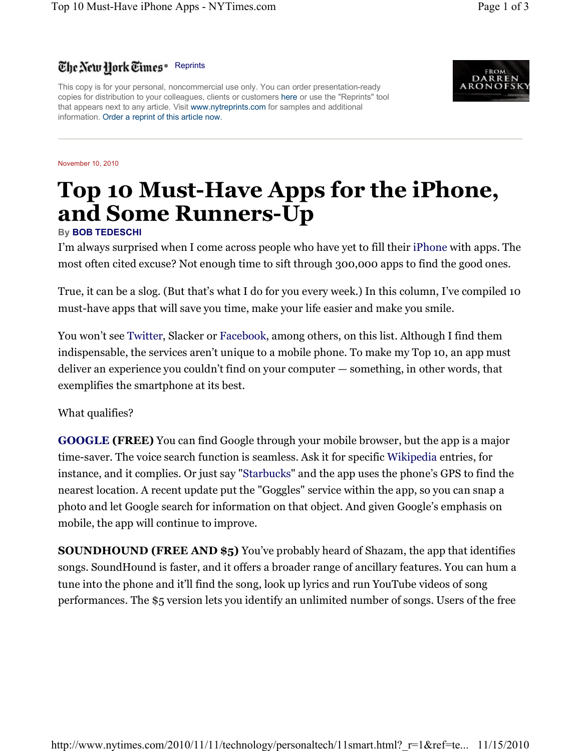## The New Hork Times. Reprints

This copy is for your personal, noncommercial use only. You can order presentation-ready copies for distribution to your colleagues, clients or customers here or use the "Reprints" tool that appears next to any article. Visit www.nytreprints.com for samples and additional information. Order a reprint of this article now.

November 10, 2010

## **Top 10 Must-Have Apps for the iPhone, and Some Runners-Up**

## **By BOB TEDESCHI**

I'm always surprised when I come across people who have yet to fill their iPhone with apps. The most often cited excuse? Not enough time to sift through 300,000 apps to find the good ones.

True, it can be a slog. (But that's what I do for you every week.) In this column, I've compiled 10 must-have apps that will save you time, make your life easier and make you smile.

You won't see Twitter, Slacker or Facebook, among others, on this list. Although I find them indispensable, the services aren't unique to a mobile phone. To make my Top 10, an app must deliver an experience you couldn't find on your computer — something, in other words, that exemplifies the smartphone at its best.

What qualifies?

**GOOGLE (FREE)** You can find Google through your mobile browser, but the app is a major time-saver. The voice search function is seamless. Ask it for specific Wikipedia entries, for instance, and it complies. Or just say "Starbucks" and the app uses the phone's GPS to find the nearest location. A recent update put the "Goggles" service within the app, so you can snap a photo and let Google search for information on that object. And given Google's emphasis on mobile, the app will continue to improve.

**SOUNDHOUND (FREE AND \$5)** You've probably heard of Shazam, the app that identifies songs. SoundHound is faster, and it offers a broader range of ancillary features. You can hum a tune into the phone and it'll find the song, look up lyrics and run YouTube videos of song performances. The \$5 version lets you identify an unlimited number of songs. Users of the free

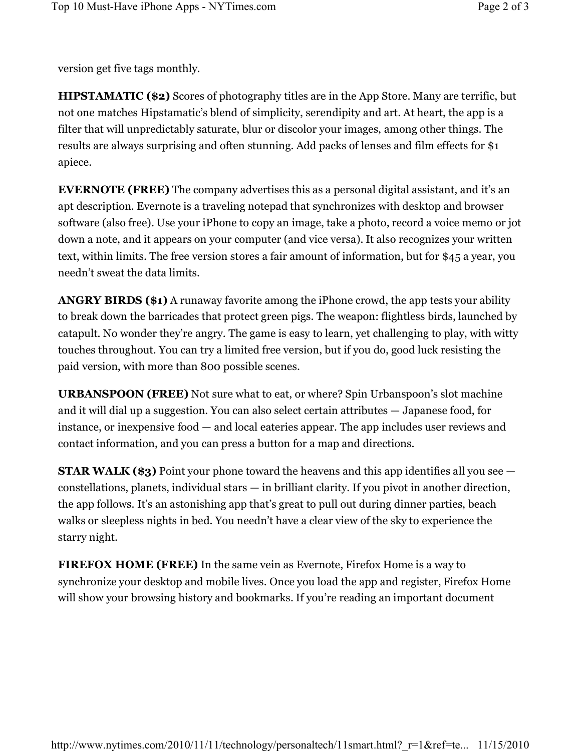version get five tags monthly.

**HIPSTAMATIC (\$2)** Scores of photography titles are in the App Store. Many are terrific, but not one matches Hipstamatic's blend of simplicity, serendipity and art. At heart, the app is a filter that will unpredictably saturate, blur or discolor your images, among other things. The results are always surprising and often stunning. Add packs of lenses and film effects for \$1 apiece.

**EVERNOTE (FREE)** The company advertises this as a personal digital assistant, and it's an apt description. Evernote is a traveling notepad that synchronizes with desktop and browser software (also free). Use your iPhone to copy an image, take a photo, record a voice memo or jot down a note, and it appears on your computer (and vice versa). It also recognizes your written text, within limits. The free version stores a fair amount of information, but for \$45 a year, you needn't sweat the data limits.

**ANGRY BIRDS (\$1)** A runaway favorite among the iPhone crowd, the app tests your ability to break down the barricades that protect green pigs. The weapon: flightless birds, launched by catapult. No wonder they're angry. The game is easy to learn, yet challenging to play, with witty touches throughout. You can try a limited free version, but if you do, good luck resisting the paid version, with more than 800 possible scenes.

**URBANSPOON (FREE)** Not sure what to eat, or where? Spin Urbanspoon's slot machine and it will dial up a suggestion. You can also select certain attributes  $-$  Japanese food, for instance, or inexpensive food  $-$  and local eateries appear. The app includes user reviews and contact information, and you can press a button for a map and directions.

**STAR WALK (\$3)** Point your phone toward the heavens and this app identifies all you see  $\alpha$  constellations, planets, individual stars  $-\alpha$  in brilliant clarity. If you pivot in another direction, the app follows. It's an astonishing app that's great to pull out during dinner parties, beach walks or sleepless nights in bed. You needn't have a clear view of the sky to experience the starry night.

**FIREFOX HOME (FREE)** In the same vein as Evernote, Firefox Home is a way to synchronize your desktop and mobile lives. Once you load the app and register, Firefox Home will show your browsing history and bookmarks. If you're reading an important document